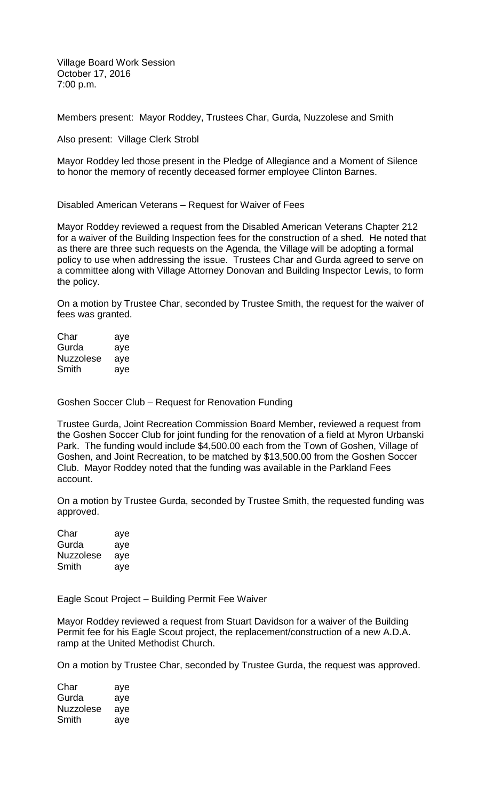Village Board Work Session October 17, 2016 7:00 p.m.

Members present: Mayor Roddey, Trustees Char, Gurda, Nuzzolese and Smith

Also present: Village Clerk Strobl

Mayor Roddey led those present in the Pledge of Allegiance and a Moment of Silence to honor the memory of recently deceased former employee Clinton Barnes.

Disabled American Veterans – Request for Waiver of Fees

Mayor Roddey reviewed a request from the Disabled American Veterans Chapter 212 for a waiver of the Building Inspection fees for the construction of a shed. He noted that as there are three such requests on the Agenda, the Village will be adopting a formal policy to use when addressing the issue. Trustees Char and Gurda agreed to serve on a committee along with Village Attorney Donovan and Building Inspector Lewis, to form the policy.

On a motion by Trustee Char, seconded by Trustee Smith, the request for the waiver of fees was granted.

| Char             | aye |
|------------------|-----|
| Gurda            | aye |
| <b>Nuzzolese</b> | ave |
| Smith            | ave |

Goshen Soccer Club – Request for Renovation Funding

Trustee Gurda, Joint Recreation Commission Board Member, reviewed a request from the Goshen Soccer Club for joint funding for the renovation of a field at Myron Urbanski Park. The funding would include \$4,500.00 each from the Town of Goshen, Village of Goshen, and Joint Recreation, to be matched by \$13,500.00 from the Goshen Soccer Club. Mayor Roddey noted that the funding was available in the Parkland Fees account.

On a motion by Trustee Gurda, seconded by Trustee Smith, the requested funding was approved.

| Char             | aye |
|------------------|-----|
| Gurda            | aye |
| <b>Nuzzolese</b> | aye |
| Smith            | aye |

Eagle Scout Project – Building Permit Fee Waiver

Mayor Roddey reviewed a request from Stuart Davidson for a waiver of the Building Permit fee for his Eagle Scout project, the replacement/construction of a new A.D.A. ramp at the United Methodist Church.

On a motion by Trustee Char, seconded by Trustee Gurda, the request was approved.

| Char             | aye |
|------------------|-----|
| Gurda            | aye |
| <b>Nuzzolese</b> | aye |
| Smith            | aye |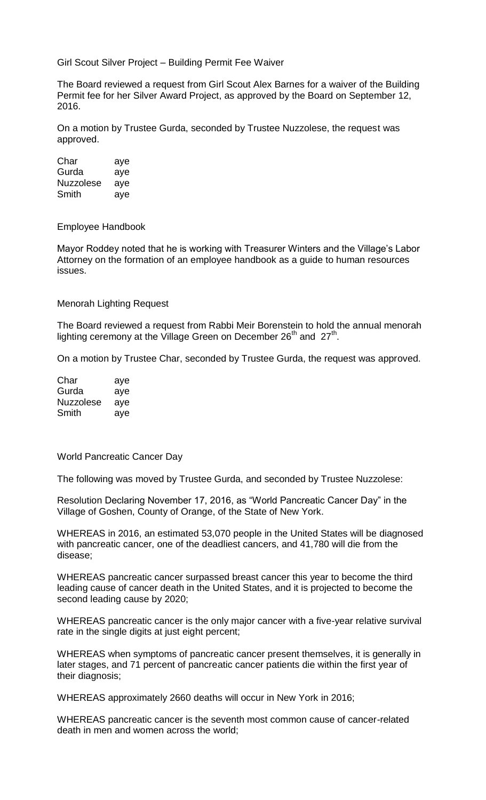Girl Scout Silver Project – Building Permit Fee Waiver

The Board reviewed a request from Girl Scout Alex Barnes for a waiver of the Building Permit fee for her Silver Award Project, as approved by the Board on September 12, 2016.

On a motion by Trustee Gurda, seconded by Trustee Nuzzolese, the request was approved.

Char aye Gurda aye Nuzzolese aye Smith aye

Employee Handbook

Mayor Roddey noted that he is working with Treasurer Winters and the Village's Labor Attorney on the formation of an employee handbook as a guide to human resources issues.

## Menorah Lighting Request

The Board reviewed a request from Rabbi Meir Borenstein to hold the annual menorah lighting ceremony at the Village Green on December 26<sup>th</sup> and 27<sup>th</sup>.

On a motion by Trustee Char, seconded by Trustee Gurda, the request was approved.

| Char             | aye |
|------------------|-----|
| Gurda            | aye |
| <b>Nuzzolese</b> | ave |
| Smith            | aye |

World Pancreatic Cancer Day

The following was moved by Trustee Gurda, and seconded by Trustee Nuzzolese:

Resolution Declaring November 17, 2016, as "World Pancreatic Cancer Day" in the Village of Goshen, County of Orange, of the State of New York.

WHEREAS in 2016, an estimated 53,070 people in the United States will be diagnosed with pancreatic cancer, one of the deadliest cancers, and 41,780 will die from the disease;

WHEREAS pancreatic cancer surpassed breast cancer this year to become the third leading cause of cancer death in the United States, and it is projected to become the second leading cause by 2020;

WHEREAS pancreatic cancer is the only major cancer with a five-year relative survival rate in the single digits at just eight percent;

WHEREAS when symptoms of pancreatic cancer present themselves, it is generally in later stages, and 71 percent of pancreatic cancer patients die within the first year of their diagnosis;

WHEREAS approximately 2660 deaths will occur in New York in 2016;

WHEREAS pancreatic cancer is the seventh most common cause of cancer-related death in men and women across the world;